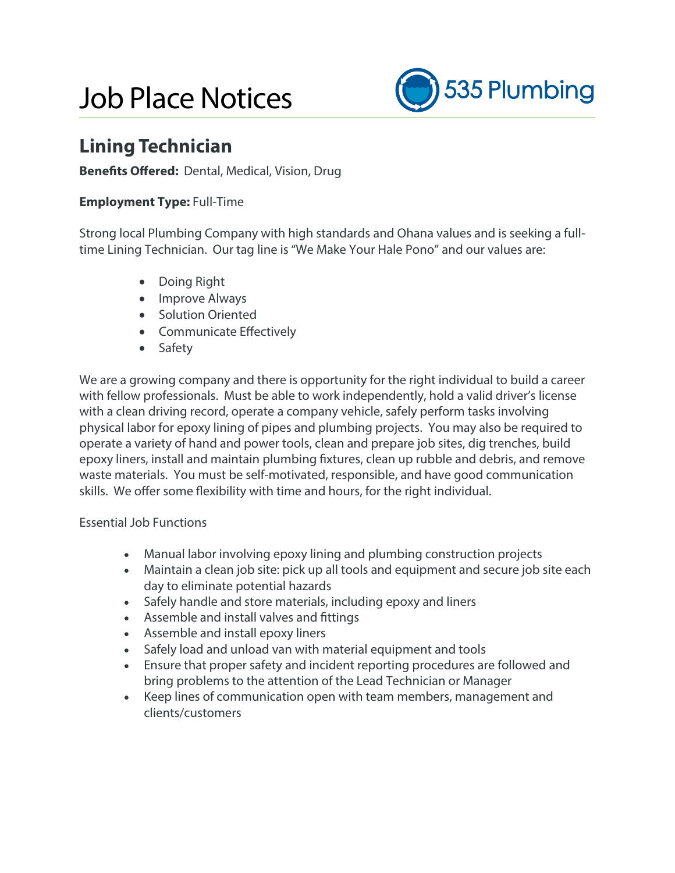# Job Place Notices



## **Lining Technician**

### **Benefits Offered:** Dental, Medical, Vision, Drug

### **Employment Type:** Full-Time

Strong local Plumbing Company with high standards and Ohana values and is seeking a fulltime Lining Technician. Our tag line is "We Make Your Hale Pono" and our values are:

- Doing Right
- Improve Always
- Solution Oriented
- **•** Communicate Effectively
- Safety

We are a growing company and there is opportunity for the right individual to build a career with fellow professionals. Must be able to work independently, hold a valid driver's license with a clean driving record, operate a company vehicle, safely perform tasks involving physical labor for epoxy lining of pipes and plumbing projects. You may also be required to operate a variety of hand and power tools, clean and prepare job sites, dig trenches, build epoxy liners, install and maintain plumbing fixtures, clean up rubble and debris, and remove waste materials. You must be self-motivated, responsible, and have good communication skills. We offer some flexibility with time and hours, for the right individual.

#### Essential Job Functions

- Manual labor involving epoxy lining and plumbing construction projects
- Maintain a clean job site: pick up all tools and equipment and secure job site each day to eliminate potential hazards
- Safely handle and store materials, including epoxy and liners
- Assemble and install valves and fittings
- Assemble and install epoxy liners
- Safely load and unload van with material equipment and tools
- Ensure that proper safety and incident reporting procedures are followed and bring problems to the attention of the Lead Technician or Manager
- Keep lines of communication open with team members, management and clients/customers